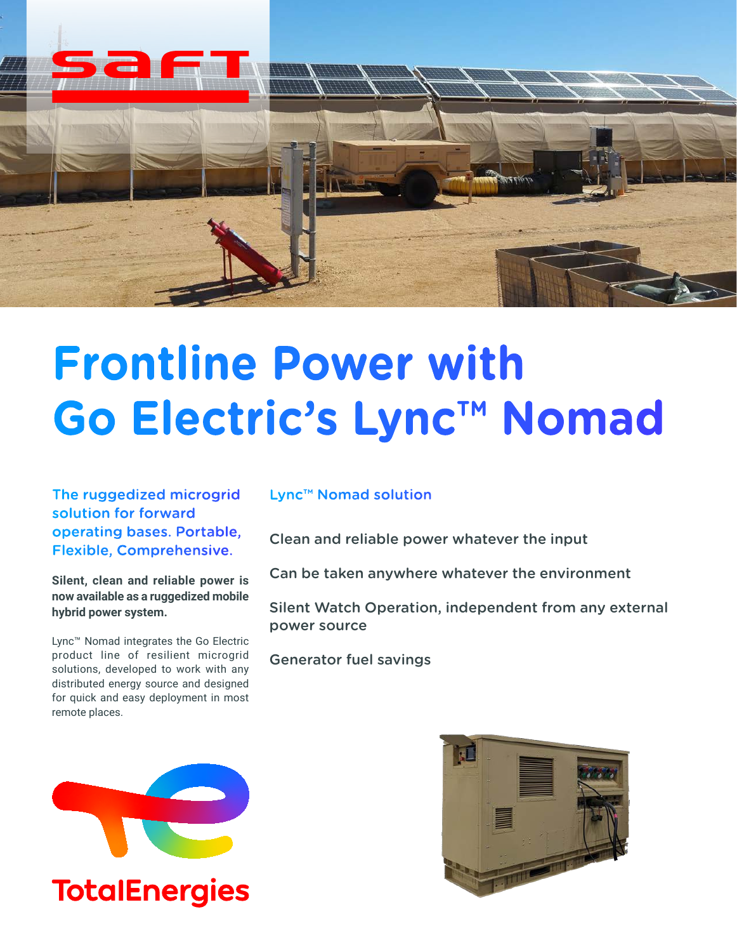

# **Frontline Power with Go Electric's Lync™ Nomad**

The ruggedized microgrid solution for forward operating bases. Portable, Flexible, Comprehensive.

**Silent, clean and reliable power is now available as a ruggedized mobile hybrid power system.**

Lync™ Nomad integrates the Go Electric product line of resilient microgrid solutions, developed to work with any distributed energy source and designed for quick and easy deployment in most remote places.

## Lync™ Nomad solution

Clean and reliable power whatever the input

Can be taken anywhere whatever the environment

Silent Watch Operation, independent from any external power source

Generator fuel savings